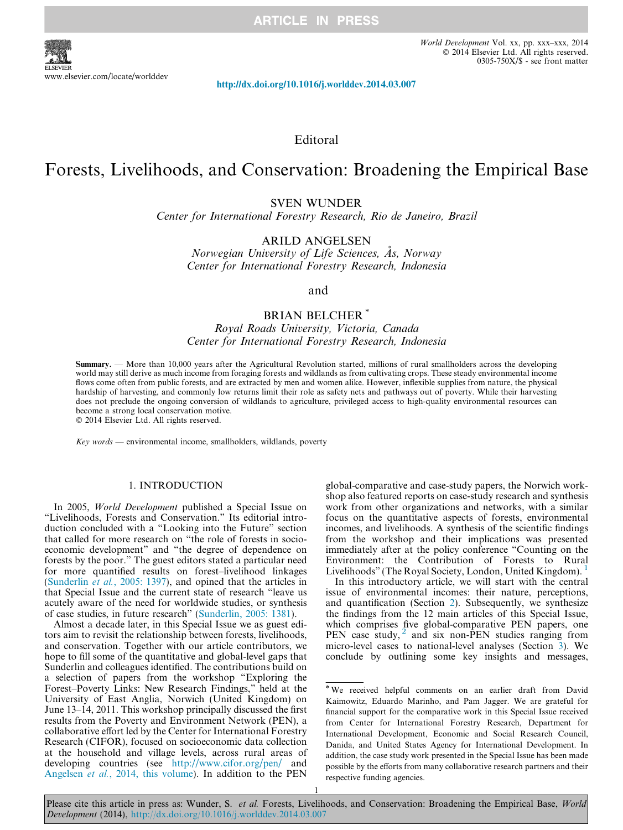

World Development Vol. xx, pp. xxx–xxx, 2014 © 2014 Elsevier Ltd. All rights reserved. 0305-750X/\$ - see front matter

<http://dx.doi.org/10.1016/j.worlddev.2014.03.007>

Editoral

# Forests, Livelihoods, and Conservation: Broadening the Empirical Base

SVEN WUNDER

Center for International Forestry Research, Rio de Janeiro, Brazil

ARILD ANGELSEN

Norwegian University of Life Sciences, As, Norway Center for International Forestry Research, Indonesia

and

### BRIAN BELCHER \*

Royal Roads University, Victoria, Canada Center for International Forestry Research, Indonesia

Summary. — More than 10,000 years after the Agricultural Revolution started, millions of rural smallholders across the developing world may still derive as much income from foraging forests and wildlands as from cultivating crops. These steady environmental income flows come often from public forests, and are extracted by men and women alike. However, inflexible supplies from nature, the physical hardship of harvesting, and commonly low returns limit their role as safety nets and pathways out of poverty. While their harvesting does not preclude the ongoing conversion of wildlands to agriculture, privileged access to high-quality environmental resources can become a strong local conservation motive.

© 2014 Elsevier Ltd. All rights reserved.

Key words — environmental income, smallholders, wildlands, poverty

### 1. INTRODUCTION

In 2005, World Development published a Special Issue on "Livelihoods, Forests and Conservation." Its editorial introduction concluded with a "Looking into the Future" section that called for more research on "the role of forests in socioeconomic development" and "the degree of dependence on forests by the poor." The guest editors stated a particular need for more quantified results on forest–livelihood linkages (Sunderlin et al.[, 2005: 1397\)](#page-10-0), and opined that the articles in that Special Issue and the current state of research "leave us acutely aware of the need for worldwide studies, or synthesis of case studies, in future research" [\(Sunderlin, 2005: 1381](#page-10-0)).

Almost a decade later, in this Special Issue we as guest editors aim to revisit the relationship between forests, livelihoods, and conservation. Together with our article contributors, we hope to fill some of the quantitative and global-level gaps that Sunderlin and colleagues identified. The contributions build on a selection of papers from the workshop "Exploring the Forest–Poverty Links: New Research Findings," held at the University of East Anglia, Norwich (United Kingdom) on June 13–14, 2011. This workshop principally discussed the first results from the Poverty and Environment Network (PEN), a collaborative effort led by the Center for International Forestry Research (CIFOR), focused on socioeconomic data collection at the household and village levels, across rural areas of developing countries (see <http://www.cifor.org/pen/> and Angelsen et al.[, 2014, this volume\)](#page-8-0). In addition to the PEN global-comparative and case-study papers, the Norwich workshop also featured reports on case-study research and synthesis work from other organizations and networks, with a similar focus on the quantitative aspects of forests, environmental incomes, and livelihoods. A synthesis of the scientific findings from the workshop and their implications was presented immediately after at the policy conference "Counting on the Environment: the Contribution of Forests to Rural Livelihoods" (The Royal Society, London, United Kingdom).<sup>1</sup>

In this introductory article, we will start with the central issue of environmental incomes: their nature, perceptions, and quantification (Section 2). Subsequently, we synthesize the findings from the 12 main articles of this Special Issue, which comprises five global-comparative PEN papers, one PEN case study,<sup>2</sup> and six non-PEN studies ranging from micro-level cases to national-level analyses (Section 3). We conclude by outlining some key insights and messages,

<sup>\*</sup>We received helpful comments on an earlier draft from David Kaimowitz, Eduardo Marinho, and Pam Jagger. We are grateful for financial support for the comparative work in this Special Issue received from Center for International Forestry Research, Department for International Development, Economic and Social Research Council, Danida, and United States Agency for International Development. In addition, the case study work presented in the Special Issue has been made possible by the efforts from many collaborative research partners and their respective funding agencies.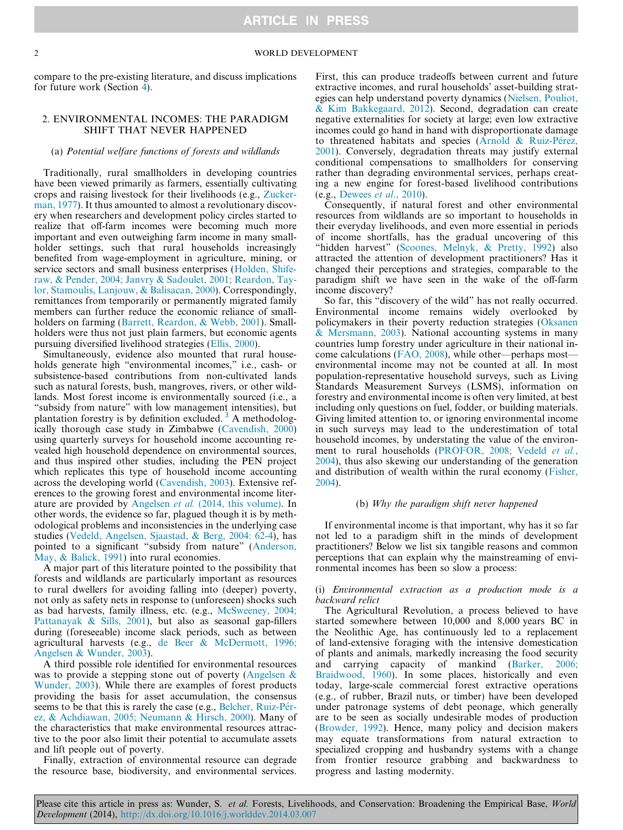compare to the pre-existing literature, and discuss implications for future work (Section 4).

#### 2. ENVIRONMENTAL INCOMES: THE PARADIGM SHIFT THAT NEVER HAPPENED

#### (a) Potential welfare functions of forests and wildlands

Traditionally, rural smallholders in developing countries have been viewed primarily as farmers, essentially cultivating crops and raising livestock for their livelihoods (e.g., [Zucker](#page-10-0)[man, 1977\)](#page-10-0). It thus amounted to almost a revolutionary discovery when researchers and development policy circles started to realize that off-farm incomes were becoming much more important and even outweighing farm income in many smallholder settings, such that rural households increasingly benefited from wage-employment in agriculture, mining, or service sectors and small business enterprises [\(Holden, Shife](#page-9-0)[raw, & Pender, 2004; Janvry & Sadoulet, 2001; Reardon, Tay](#page-9-0)[lor, Stamoulis, Lanjouw, & Balisacan, 2000\)](#page-9-0). Correspondingly, remittances from temporarily or permanently migrated family members can further reduce the economic reliance of smallholders on farming [\(Barrett, Reardon, & Webb, 2001](#page-8-0)). Smallholders were thus not just plain farmers, but economic agents pursuing diversified livelihood strategies [\(Ellis, 2000](#page-9-0)).

Simultaneously, evidence also mounted that rural households generate high "environmental incomes," i.e., cash- or subsistence-based contributions from non-cultivated lands such as natural forests, bush, mangroves, rivers, or other wildlands. Most forest income is environmentally sourced (i.e., a "subsidy from nature" with low management intensities), but plantation forestry is by definition excluded.<sup>3</sup> A methodologically thorough case study in Zimbabwe [\(Cavendish, 2000\)](#page-9-0) using quarterly surveys for household income accounting revealed high household dependence on environmental sources, and thus inspired other studies, including the PEN project which replicates this type of household income accounting across the developing world ([Cavendish, 2003](#page-9-0)). Extensive references to the growing forest and environmental income literature are provided by Angelsen et al. [\(2014, this volume\).](#page-8-0) In other words, the evidence so far, plagued though it is by methodological problems and inconsistencies in the underlying case studies ([Vedeld, Angelsen, Sjaastad, & Berg, 2004: 62-4](#page-10-0)), has pointed to a significant "subsidy from nature" ([Anderson,](#page-8-0) [May, & Balick, 1991\)](#page-8-0) into rural economies.

A major part of this literature pointed to the possibility that forests and wildlands are particularly important as resources to rural dwellers for avoiding falling into (deeper) poverty, not only as safety nets in response to (unforeseen) shocks such as bad harvests, family illness, etc. (e.g., [McSweeney, 2004;](#page-9-0) [Pattanayak & Sills, 2001\)](#page-9-0), but also as seasonal gap-fillers during (foreseeable) income slack periods, such as between agricultural harvests (e.g., [de Beer & McDermott, 1996;](#page-9-0) [Angelsen & Wunder, 2003\)](#page-9-0).

A third possible role identified for environmental resources was to provide a stepping stone out of poverty (Angelsen  $\&$ [Wunder, 2003\)](#page-8-0). While there are examples of forest products providing the basis for asset accumulation, the consensus seems to be that this is rarely the case (e.g., Belcher, Ruiz-Pér[ez, & Achdiawan, 2005; Neumann & Hirsch, 2000](#page-9-0)). Many of the characteristics that make environmental resources attractive to the poor also limit their potential to accumulate assets and lift people out of poverty.

Finally, extraction of environmental resource can degrade the resource base, biodiversity, and environmental services.

First, this can produce tradeoffs between current and future extractive incomes, and rural households' asset-building strategies can help understand poverty dynamics [\(Nielsen, Pouliot,](#page-9-0) [& Kim Bakkegaard, 2012\)](#page-9-0). Second, degradation can create negative externalities for society at large; even low extractive incomes could go hand in hand with disproportionate damage to threatened habitats and species (Arnold  $\&$  Ruiz-Pérez, [2001\)](#page-8-0). Conversely, degradation threats may justify external conditional compensations to smallholders for conserving rather than degrading environmental services, perhaps creating a new engine for forest-based livelihood contributions (e.g., [Dewees](#page-9-0)  $\tilde{et}$  al., 2010).

Consequently, if natural forest and other environmental resources from wildlands are so important to households in their everyday livelihoods, and even more essential in periods of income shortfalls, has the gradual uncovering of this "hidden harvest" ([Scoones, Melnyk, & Pretty, 1992\)](#page-10-0) also attracted the attention of development practitioners? Has it changed their perceptions and strategies, comparable to the paradigm shift we have seen in the wake of the off-farm income discovery?

So far, this "discovery of the wild" has not really occurred. Environmental income remains widely overlooked by policymakers in their poverty reduction strategies [\(Oksanen](#page-9-0) [& Mersmann, 2003](#page-9-0)). National accounting systems in many countries lump forestry under agriculture in their national income calculations ([FAO, 2008](#page-9-0)), while other—perhaps most environmental income may not be counted at all. In most population-representative household surveys, such as Living Standards Measurement Surveys (LSMS), information on forestry and environmental income is often very limited, at best including only questions on fuel, fodder, or building materials. Giving limited attention to, or ignoring environmental income in such surveys may lead to the underestimation of total household incomes, by understating the value of the environ-ment to rural households [\(PROFOR, 2008; Vedeld](#page-10-0) et al., [2004\)](#page-10-0), thus also skewing our understanding of the generation and distribution of wealth within the rural economy ([Fisher,](#page-9-0) [2004\)](#page-9-0).

#### (b) Why the paradigm shift never happened

If environmental income is that important, why has it so far not led to a paradigm shift in the minds of development practitioners? Below we list six tangible reasons and common perceptions that can explain why the mainstreaming of environmental incomes has been so slow a process:

#### (i) Environmental extraction as a production mode is a backward relict

The Agricultural Revolution, a process believed to have started somewhere between 10,000 and 8,000 years BC in the Neolithic Age, has continuously led to a replacement of land-extensive foraging with the intensive domestication of plants and animals, markedly increasing the food security and carrying capacity of mankind [\(Barker, 2006;](#page-8-0) [Braidwood, 1960](#page-8-0)). In some places, historically and even today, large-scale commercial forest extractive operations (e.g., of rubber, Brazil nuts, or timber) have been developed under patronage systems of debt peonage, which generally are to be seen as socially undesirable modes of production ([Browder, 1992](#page-9-0)). Hence, many policy and decision makers may equate transformations from natural extraction to specialized cropping and husbandry systems with a change from frontier resource grabbing and backwardness to progress and lasting modernity.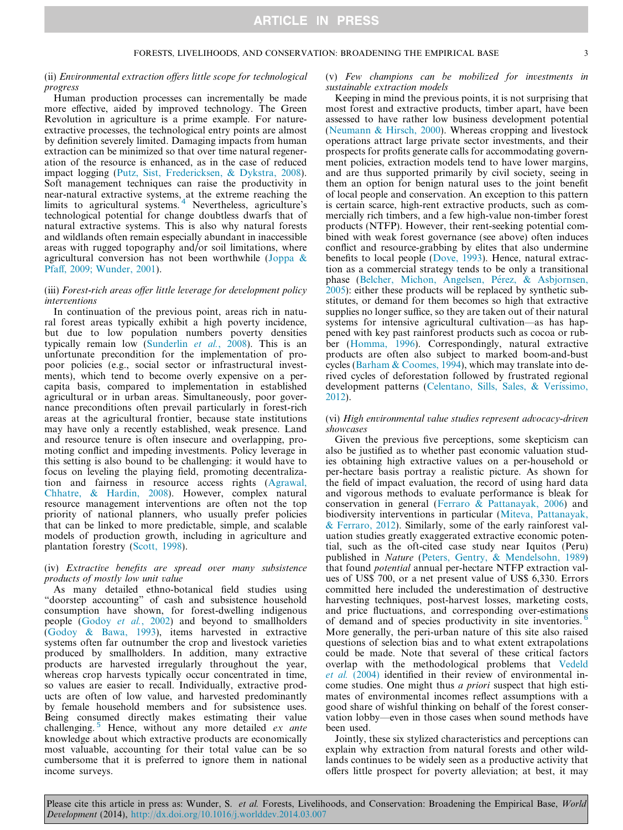#### (ii) Environmental extraction offers little scope for technological progress

Human production processes can incrementally be made more effective, aided by improved technology. The Green Revolution in agriculture is a prime example. For natureextractive processes, the technological entry points are almost by definition severely limited. Damaging impacts from human extraction can be minimized so that over time natural regeneration of the resource is enhanced, as in the case of reduced impact logging ([Putz, Sist, Fredericksen, & Dykstra, 2008\)](#page-10-0). Soft management techniques can raise the productivity in near-natural extractive systems, at the extreme reaching the limits to agricultural systems.<sup>4</sup> Nevertheless, agriculture's technological potential for change doubtless dwarfs that of natural extractive systems. This is also why natural forests and wildlands often remain especially abundant in inaccessible areas with rugged topography and/or soil limitations, where agricultural conversion has not been worthwhile ([Joppa &](#page-9-0) [Pfaff, 2009; Wunder, 2001](#page-9-0)).

#### (iii) Forest-rich areas offer little leverage for development policy interventions

In continuation of the previous point, areas rich in natural forest areas typically exhibit a high poverty incidence, but due to low population numbers poverty densities typically remain low ([Sunderlin](#page-10-0) et al., 2008). This is an unfortunate precondition for the implementation of propoor policies (e.g., social sector or infrastructural investments), which tend to become overly expensive on a percapita basis, compared to implementation in established agricultural or in urban areas. Simultaneously, poor governance preconditions often prevail particularly in forest-rich areas at the agricultural frontier, because state institutions may have only a recently established, weak presence. Land and resource tenure is often insecure and overlapping, promoting conflict and impeding investments. Policy leverage in this setting is also bound to be challenging: it would have to focus on leveling the playing field, promoting decentralization and fairness in resource access rights ([Agrawal,](#page-8-0) [Chhatre, & Hardin, 2008\)](#page-8-0). However, complex natural resource management interventions are often not the top priority of national planners, who usually prefer policies that can be linked to more predictable, simple, and scalable models of production growth, including in agriculture and plantation forestry [\(Scott, 1998\)](#page-10-0).

#### (iv) Extractive benefits are spread over many subsistence products of mostly low unit value

As many detailed ethno-botanical field studies using "doorstep accounting" of cash and subsistence household consumption have shown, for forest-dwelling indigenous people [\(Godoy](#page-9-0) et al., 2002) and beyond to smallholders ([Godoy & Bawa, 1993](#page-9-0)), items harvested in extractive systems often far outnumber the crop and livestock varieties produced by smallholders. In addition, many extractive products are harvested irregularly throughout the year, whereas crop harvests typically occur concentrated in time, so values are easier to recall. Individually, extractive products are often of low value, and harvested predominantly by female household members and for subsistence uses. Being consumed directly makes estimating their value challenging.<sup>5</sup> Hence, without any more detailed  $ex$  ante knowledge about which extractive products are economically most valuable, accounting for their total value can be so cumbersome that it is preferred to ignore them in national income surveys.

#### (v) Few champions can be mobilized for investments in sustainable extraction models

Keeping in mind the previous points, it is not surprising that most forest and extractive products, timber apart, have been assessed to have rather low business development potential ([Neumann & Hirsch, 2000](#page-9-0)). Whereas cropping and livestock operations attract large private sector investments, and their prospects for profits generate calls for accommodating government policies, extraction models tend to have lower margins, and are thus supported primarily by civil society, seeing in them an option for benign natural uses to the joint benefit of local people and conservation. An exception to this pattern is certain scarce, high-rent extractive products, such as commercially rich timbers, and a few high-value non-timber forest products (NTFP). However, their rent-seeking potential combined with weak forest governance (see above) often induces conflict and resource-grabbing by elites that also undermine benefits to local people [\(Dove, 1993](#page-9-0)). Hence, natural extraction as a commercial strategy tends to be only a transitional phase (Belcher, Michon, Angelsen, Pérez, & Asbjornsen, [2005](#page-9-0)): either these products will be replaced by synthetic substitutes, or demand for them becomes so high that extractive supplies no longer suffice, so they are taken out of their natural systems for intensive agricultural cultivation—as has happened with key past rainforest products such as cocoa or rubber ([Homma, 1996\)](#page-9-0). Correspondingly, natural extractive products are often also subject to marked boom-and-bust cycles [\(Barham & Coomes, 1994\)](#page-8-0), which may translate into derived cycles of deforestation followed by frustrated regional development patterns (Celentano, Sills, Sales, & Veríssimo, [2012](#page-9-0)).

#### (vi) High environmental value studies represent advocacy-driven showcases

Given the previous five perceptions, some skepticism can also be justified as to whether past economic valuation studies obtaining high extractive values on a per-household or per-hectare basis portray a realistic picture. As shown for the field of impact evaluation, the record of using hard data and vigorous methods to evaluate performance is bleak for conservation in general [\(Ferraro & Pattanayak, 2006](#page-9-0)) and biodiversity interventions in particular ([Miteva, Pattanayak,](#page-9-0) [& Ferraro, 2012](#page-9-0)). Similarly, some of the early rainforest valuation studies greatly exaggerated extractive economic potential, such as the oft-cited case study near Iquitos (Peru) published in Nature [\(Peters, Gentry, & Mendelsohn, 1989](#page-10-0)) that found potential annual per-hectare NTFP extraction values of US\$ 700, or a net present value of US\$ 6,330. Errors committed here included the underestimation of destructive harvesting techniques, post-harvest losses, marketing costs, and price fluctuations, and corresponding over-estimations of demand and of species productivity in site inventories.<sup>6</sup> More generally, the peri-urban nature of this site also raised questions of selection bias and to what extent extrapolations could be made. Note that several of these critical factors overlap with the methodological problems that [Vedeld](#page-10-0) et al. [\(2004\)](#page-10-0) identified in their review of environmental income studies. One might thus a priori suspect that high estimates of environmental incomes reflect assumptions with a good share of wishful thinking on behalf of the forest conservation lobby—even in those cases when sound methods have been used.

Jointly, these six stylized characteristics and perceptions can explain why extraction from natural forests and other wildlands continues to be widely seen as a productive activity that offers little prospect for poverty alleviation; at best, it may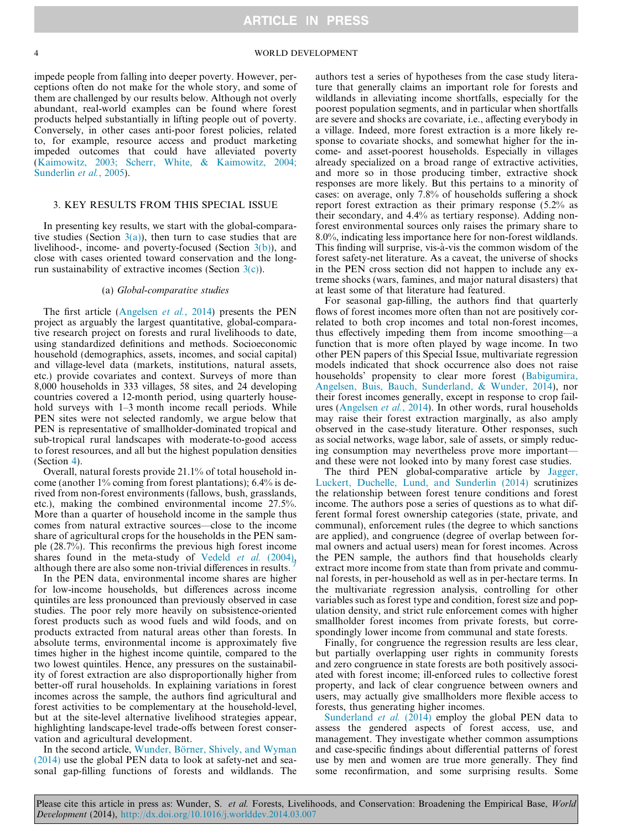impede people from falling into deeper poverty. However, perceptions often do not make for the whole story, and some of them are challenged by our results below. Although not overly abundant, real-world examples can be found where forest products helped substantially in lifting people out of poverty. Conversely, in other cases anti-poor forest policies, related to, for example, resource access and product marketing impeded outcomes that could have alleviated poverty ([Kaimowitz, 2003; Scherr, White, & Kaimowitz, 2004;](#page-9-0) [Sunderlin](#page-9-0) et al., 2005).

#### 3. KEY RESULTS FROM THIS SPECIAL ISSUE

In presenting key results, we start with the global-comparative studies (Section  $3(a)$ ), then turn to case studies that are livelihood-, income- and poverty-focused (Section 3(b)), and close with cases oriented toward conservation and the longrun sustainability of extractive incomes (Section  $3(c)$ ).

#### (a) Global-comparative studies

The first article ([Angelsen](#page-8-0) et al., 2014) presents the PEN project as arguably the largest quantitative, global-comparative research project on forests and rural livelihoods to date, using standardized definitions and methods. Socioeconomic household (demographics, assets, incomes, and social capital) and village-level data (markets, institutions, natural assets, etc.) provide covariates and context. Surveys of more than 8,000 households in 333 villages, 58 sites, and 24 developing countries covered a 12-month period, using quarterly household surveys with 1–3 month income recall periods. While PEN sites were not selected randomly, we argue below that PEN is representative of smallholder-dominated tropical and sub-tropical rural landscapes with moderate-to-good access to forest resources, and all but the highest population densities (Section 4).

Overall, natural forests provide 21.1% of total household income (another 1% coming from forest plantations); 6.4% is derived from non-forest environments (fallows, bush, grasslands, etc.), making the combined environmental income 27.5%. More than a quarter of household income in the sample thus comes from natural extractive sources—close to the income share of agricultural crops for the households in the PEN sample (28.7%). This reconfirms the previous high forest income shares found in the meta-study of [Vedeld](#page-10-0) et al.  $(2004)$ , although there are also some non-trivial differences in results. <sup>7</sup>

In the PEN data, environmental income shares are higher for low-income households, but differences across income quintiles are less pronounced than previously observed in case studies. The poor rely more heavily on subsistence-oriented forest products such as wood fuels and wild foods, and on products extracted from natural areas other than forests. In absolute terms, environmental income is approximately five times higher in the highest income quintile, compared to the two lowest quintiles. Hence, any pressures on the sustainability of forest extraction are also disproportionally higher from better-off rural households. In explaining variations in forest incomes across the sample, the authors find agricultural and forest activities to be complementary at the household-level, but at the site-level alternative livelihood strategies appear, highlighting landscape-level trade-offs between forest conservation and agricultural development.

In the second article, Wunder, Börner, Shively, and Wyman [\(2014\)](#page-10-0) use the global PEN data to look at safety-net and seasonal gap-filling functions of forests and wildlands. The authors test a series of hypotheses from the case study literature that generally claims an important role for forests and wildlands in alleviating income shortfalls, especially for the poorest population segments, and in particular when shortfalls are severe and shocks are covariate, i.e., affecting everybody in a village. Indeed, more forest extraction is a more likely response to covariate shocks, and somewhat higher for the income- and asset-poorest households. Especially in villages already specialized on a broad range of extractive activities, and more so in those producing timber, extractive shock responses are more likely. But this pertains to a minority of cases: on average, only 7.8% of households suffering a shock report forest extraction as their primary response (5.2% as their secondary, and 4.4% as tertiary response). Adding nonforest environmental sources only raises the primary share to 8.0%, indicating less importance here for non-forest wildlands. This finding will surprise, vis-à-vis the common wisdom of the forest safety-net literature. As a caveat, the universe of shocks in the PEN cross section did not happen to include any extreme shocks (wars, famines, and major natural disasters) that at least some of that literature had featured.

For seasonal gap-filling, the authors find that quarterly flows of forest incomes more often than not are positively correlated to both crop incomes and total non-forest incomes, thus effectively impeding them from income smoothing—a function that is more often played by wage income. In two other PEN papers of this Special Issue, multivariate regression models indicated that shock occurrence also does not raise households' propensity to clear more forest ([Babigumira,](#page-8-0) [Angelsen, Buis, Bauch, Sunderland, & Wunder, 2014](#page-8-0)), nor their forest incomes generally, except in response to crop failures ([Angelsen](#page-8-0) et al., 2014). In other words, rural households may raise their forest extraction marginally, as also amply observed in the case-study literature. Other responses, such as social networks, wage labor, sale of assets, or simply reducing consumption may nevertheless prove more important and these were not looked into by many forest case studies.

The third PEN global-comparative article by [Jagger,](#page-9-0) [Luckert, Duchelle, Lund, and Sunderlin \(2014\)](#page-9-0) scrutinizes the relationship between forest tenure conditions and forest income. The authors pose a series of questions as to what different formal forest ownership categories (state, private, and communal), enforcement rules (the degree to which sanctions are applied), and congruence (degree of overlap between formal owners and actual users) mean for forest incomes. Across the PEN sample, the authors find that households clearly extract more income from state than from private and communal forests, in per-household as well as in per-hectare terms. In the multivariate regression analysis, controlling for other variables such as forest type and condition, forest size and population density, and strict rule enforcement comes with higher smallholder forest incomes from private forests, but correspondingly lower income from communal and state forests.

Finally, for congruence the regression results are less clear, but partially overlapping user rights in community forests and zero congruence in state forests are both positively associated with forest income; ill-enforced rules to collective forest property, and lack of clear congruence between owners and users, may actually give smallholders more flexible access to forests, thus generating higher incomes.

[Sunderland](#page-10-0) et al. (2014) employ the global PEN data to assess the gendered aspects of forest access, use, and management. They investigate whether common assumptions and case-specific findings about differential patterns of forest use by men and women are true more generally. They find some reconfirmation, and some surprising results. Some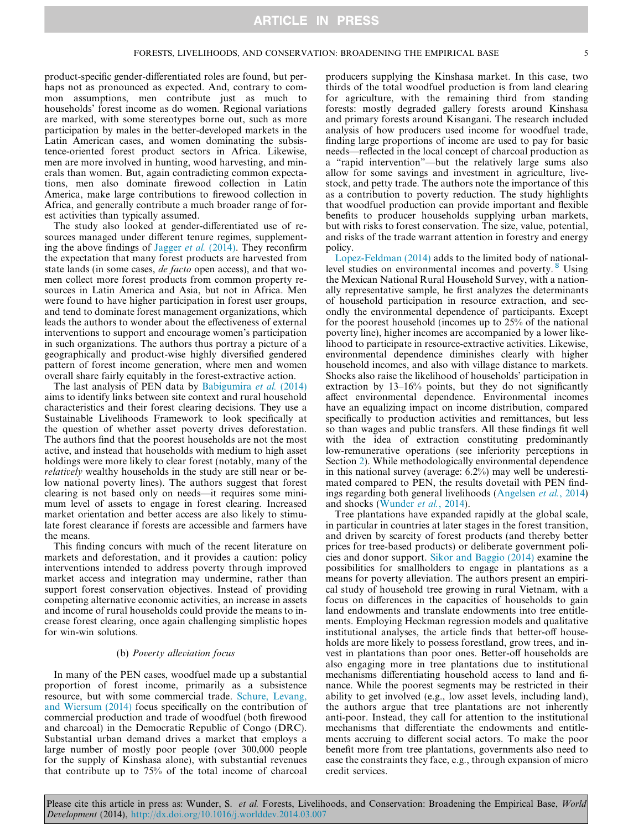#### FORESTS, LIVELIHOODS, AND CONSERVATION: BROADENING THE EMPIRICAL BASE

product-specific gender-differentiated roles are found, but perhaps not as pronounced as expected. And, contrary to common assumptions, men contribute just as much to households' forest income as do women. Regional variations are marked, with some stereotypes borne out, such as more participation by males in the better-developed markets in the Latin American cases, and women dominating the subsistence-oriented forest product sectors in Africa. Likewise, men are more involved in hunting, wood harvesting, and minerals than women. But, again contradicting common expectations, men also dominate firewood collection in Latin America, make large contributions to firewood collection in Africa, and generally contribute a much broader range of forest activities than typically assumed.

The study also looked at gender-differentiated use of resources managed under different tenure regimes, supplement-ing the above findings of [Jagger](#page-9-0) *et al.* (2014). They reconfirm the expectation that many forest products are harvested from state lands (in some cases, *de facto* open access), and that women collect more forest products from common property resources in Latin America and Asia, but not in Africa. Men were found to have higher participation in forest user groups, and tend to dominate forest management organizations, which leads the authors to wonder about the effectiveness of external interventions to support and encourage women's participation in such organizations. The authors thus portray a picture of a geographically and product-wise highly diversified gendered pattern of forest income generation, where men and women overall share fairly equitably in the forest-extractive action.

The last analysis of PEN data by [Babigumira](#page-8-0) et al. (2014) aims to identify links between site context and rural household characteristics and their forest clearing decisions. They use a Sustainable Livelihoods Framework to look specifically at the question of whether asset poverty drives deforestation. The authors find that the poorest households are not the most active, and instead that households with medium to high asset holdings were more likely to clear forest (notably, many of the relatively wealthy households in the study are still near or below national poverty lines). The authors suggest that forest clearing is not based only on needs—it requires some minimum level of assets to engage in forest clearing. Increased market orientation and better access are also likely to stimulate forest clearance if forests are accessible and farmers have the means.

This finding concurs with much of the recent literature on markets and deforestation, and it provides a caution: policy interventions intended to address poverty through improved market access and integration may undermine, rather than support forest conservation objectives. Instead of providing competing alternative economic activities, an increase in assets and income of rural households could provide the means to increase forest clearing, once again challenging simplistic hopes for win-win solutions.

### (b) Poverty alleviation focus

In many of the PEN cases, woodfuel made up a substantial proportion of forest income, primarily as a subsistence resource, but with some commercial trade. [Schure, Levang,](#page-10-0) [and Wiersum \(2014\)](#page-10-0) focus specifically on the contribution of commercial production and trade of woodfuel (both firewood and charcoal) in the Democratic Republic of Congo (DRC). Substantial urban demand drives a market that employs a large number of mostly poor people (over 300,000 people for the supply of Kinshasa alone), with substantial revenues that contribute up to 75% of the total income of charcoal

producers supplying the Kinshasa market. In this case, two thirds of the total woodfuel production is from land clearing for agriculture, with the remaining third from standing forests: mostly degraded gallery forests around Kinshasa and primary forests around Kisangani. The research included analysis of how producers used income for woodfuel trade, finding large proportions of income are used to pay for basic needs—reflected in the local concept of charcoal production as a "rapid intervention"—but the relatively large sums also allow for some savings and investment in agriculture, livestock, and petty trade. The authors note the importance of this as a contribution to poverty reduction. The study highlights that woodfuel production can provide important and flexible benefits to producer households supplying urban markets, but with risks to forest conservation. The size, value, potential, and risks of the trade warrant attention in forestry and energy policy.

[Lopez-Feldman \(2014\)](#page-9-0) adds to the limited body of nationallevel studies on environmental incomes and poverty. <sup>8</sup> Using the Mexican National Rural Household Survey, with a nationally representative sample, he first analyzes the determinants of household participation in resource extraction, and secondly the environmental dependence of participants. Except for the poorest household (incomes up to 25% of the national poverty line), higher incomes are accompanied by a lower likelihood to participate in resource-extractive activities. Likewise, environmental dependence diminishes clearly with higher household incomes, and also with village distance to markets. Shocks also raise the likelihood of households' participation in extraction by 13–16% points, but they do not significantly affect environmental dependence. Environmental incomes have an equalizing impact on income distribution, compared specifically to production activities and remittances, but less so than wages and public transfers. All these findings fit well with the idea of extraction constituting predominantly low-remunerative operations (see inferiority perceptions in Section 2). While methodologically environmental dependence in this national survey (average: 6.2%) may well be underestimated compared to PEN, the results dovetail with PEN findings regarding both general livelihoods [\(Angelsen](#page-8-0) et al., 2014) and shocks [\(Wunder](#page-10-0) et al., 2014).

Tree plantations have expanded rapidly at the global scale, in particular in countries at later stages in the forest transition, and driven by scarcity of forest products (and thereby better prices for tree-based products) or deliberate government policies and donor support. [Sikor and Baggio \(2014\)](#page-10-0) examine the possibilities for smallholders to engage in plantations as a means for poverty alleviation. The authors present an empirical study of household tree growing in rural Vietnam, with a focus on differences in the capacities of households to gain land endowments and translate endowments into tree entitlements. Employing Heckman regression models and qualitative institutional analyses, the article finds that better-off households are more likely to possess forestland, grow trees, and invest in plantations than poor ones. Better-off households are also engaging more in tree plantations due to institutional mechanisms differentiating household access to land and finance. While the poorest segments may be restricted in their ability to get involved (e.g., low asset levels, including land), the authors argue that tree plantations are not inherently anti-poor. Instead, they call for attention to the institutional mechanisms that differentiate the endowments and entitlements accruing to different social actors. To make the poor benefit more from tree plantations, governments also need to ease the constraints they face, e.g., through expansion of micro credit services.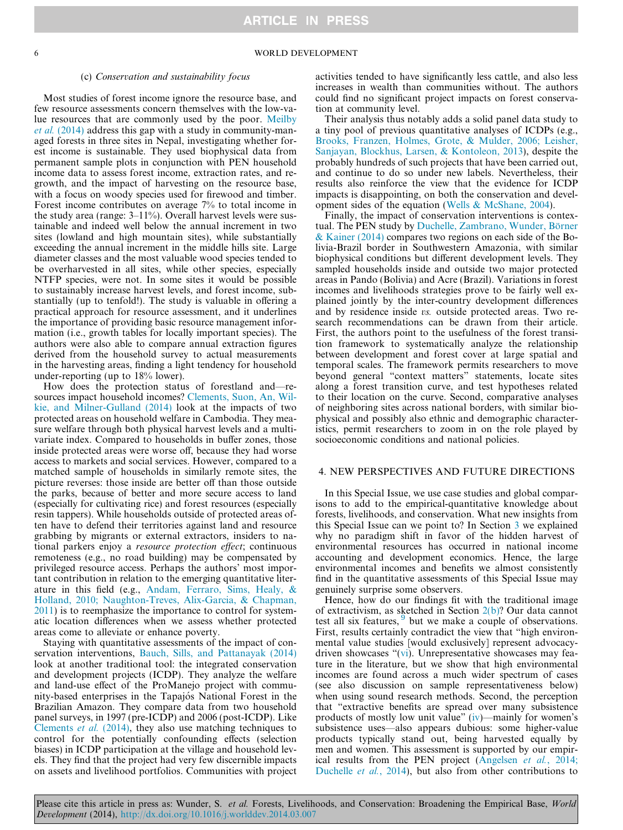#### (c) Conservation and sustainability focus

Most studies of forest income ignore the resource base, and few resource assessments concern themselves with the low-value resources that are commonly used by the poor. [Meilby](#page-9-0) et al. [\(2014\)](#page-9-0) address this gap with a study in community-managed forests in three sites in Nepal, investigating whether forest income is sustainable. They used biophysical data from permanent sample plots in conjunction with PEN household income data to assess forest income, extraction rates, and regrowth, and the impact of harvesting on the resource base, with a focus on woody species used for firewood and timber. Forest income contributes on average 7% to total income in the study area (range: 3–11%). Overall harvest levels were sustainable and indeed well below the annual increment in two sites (lowland and high mountain sites), while substantially exceeding the annual increment in the middle hills site. Large diameter classes and the most valuable wood species tended to be overharvested in all sites, while other species, especially NTFP species, were not. In some sites it would be possible to sustainably increase harvest levels, and forest income, substantially (up to tenfold!). The study is valuable in offering a practical approach for resource assessment, and it underlines the importance of providing basic resource management information (i.e., growth tables for locally important species). The authors were also able to compare annual extraction figures derived from the household survey to actual measurements in the harvesting areas, finding a light tendency for household under-reporting (up to 18% lower).

How does the protection status of forestland and—resources impact household incomes? [Clements, Suon, An, Wil](#page-9-0)[kie, and Milner-Gulland \(2014\)](#page-9-0) look at the impacts of two protected areas on household welfare in Cambodia. They measure welfare through both physical harvest levels and a multivariate index. Compared to households in buffer zones, those inside protected areas were worse off, because they had worse access to markets and social services. However, compared to a matched sample of households in similarly remote sites, the picture reverses: those inside are better off than those outside the parks, because of better and more secure access to land (especially for cultivating rice) and forest resources (especially resin tappers). While households outside of protected areas often have to defend their territories against land and resource grabbing by migrants or external extractors, insiders to national parkers enjoy a resource protection effect; continuous remoteness (e.g., no road building) may be compensated by privileged resource access. Perhaps the authors' most important contribution in relation to the emerging quantitative literature in this field (e.g., [Andam, Ferraro, Sims, Healy, &](#page-8-0) [Holland, 2010; Naughton-Treves, Alix-Garcia, & Chapman,](#page-8-0) [2011\)](#page-8-0) is to reemphasize the importance to control for systematic location differences when we assess whether protected areas come to alleviate or enhance poverty.

Staying with quantitative assessments of the impact of conservation interventions, [Bauch, Sills, and Pattanayak \(2014\)](#page-9-0) look at another traditional tool: the integrated conservation and development projects (ICDP). They analyze the welfare and land-use effect of the ProManejo project with community-based enterprises in the Tapajós National Forest in the Brazilian Amazon. They compare data from two household panel surveys, in 1997 (pre-ICDP) and 2006 (post-ICDP). Like [Clements](#page-9-0) et al. (2014), they also use matching techniques to control for the potentially confounding effects (selection biases) in ICDP participation at the village and household levels. They find that the project had very few discernible impacts on assets and livelihood portfolios. Communities with project activities tended to have significantly less cattle, and also less increases in wealth than communities without. The authors could find no significant project impacts on forest conservation at community level.

Their analysis thus notably adds a solid panel data study to a tiny pool of previous quantitative analyses of ICDPs (e.g., [Brooks, Franzen, Holmes, Grote, & Mulder, 2006; Leisher,](#page-9-0) [Sanjayan, Blockhus, Larsen, & Kontoleon, 2013](#page-9-0)), despite the probably hundreds of such projects that have been carried out, and continue to do so under new labels. Nevertheless, their results also reinforce the view that the evidence for ICDP impacts is disappointing, on both the conservation and development sides of the equation ([Wells & McShane, 2004](#page-10-0)).

Finally, the impact of conservation interventions is contextual. The PEN study by Duchelle, Zambrano, Wunder, Börner [& Kainer \(2014\)](#page-9-0) compares two regions on each side of the Bolivia-Brazil border in Southwestern Amazonia, with similar biophysical conditions but different development levels. They sampled households inside and outside two major protected areas in Pando (Bolivia) and Acre (Brazil). Variations in forest incomes and livelihoods strategies prove to be fairly well explained jointly by the inter-country development differences and by residence inside vs. outside protected areas. Two research recommendations can be drawn from their article. First, the authors point to the usefulness of the forest transition framework to systematically analyze the relationship between development and forest cover at large spatial and temporal scales. The framework permits researchers to move beyond general "context matters" statements, locate sites along a forest transition curve, and test hypotheses related to their location on the curve. Second, comparative analyses of neighboring sites across national borders, with similar biophysical and possibly also ethnic and demographic characteristics, permit researchers to zoom in on the role played by socioeconomic conditions and national policies.

#### 4. NEW PERSPECTIVES AND FUTURE DIRECTIONS

In this Special Issue, we use case studies and global comparisons to add to the empirical-quantitative knowledge about forests, livelihoods, and conservation. What new insights from this Special Issue can we point to? In Section 3 we explained why no paradigm shift in favor of the hidden harvest of environmental resources has occurred in national income accounting and development economics. Hence, the large environmental incomes and benefits we almost consistently find in the quantitative assessments of this Special Issue may genuinely surprise some observers.

Hence, how do our findings fit with the traditional image of extractivism, as sketched in Section  $2(b)$ ? Our data cannot test all six features,  $9$  but we make a couple of observations. First, results certainly contradict the view that "high environmental value studies [would exclusively] represent advocacydriven showcases "(vi). Unrepresentative showcases may feature in the literature, but we show that high environmental incomes are found across a much wider spectrum of cases (see also discussion on sample representativeness below) when using sound research methods. Second, the perception that "extractive benefits are spread over many subsistence products of mostly low unit value" (iv)—mainly for women's subsistence uses—also appears dubious: some higher-value products typically stand out, being harvested equally by men and women. This assessment is supported by our empir-ical results from the PEN project [\(Angelsen](#page-8-0) et al., 2014; [Duchelle](#page-8-0) et al., 2014), but also from other contributions to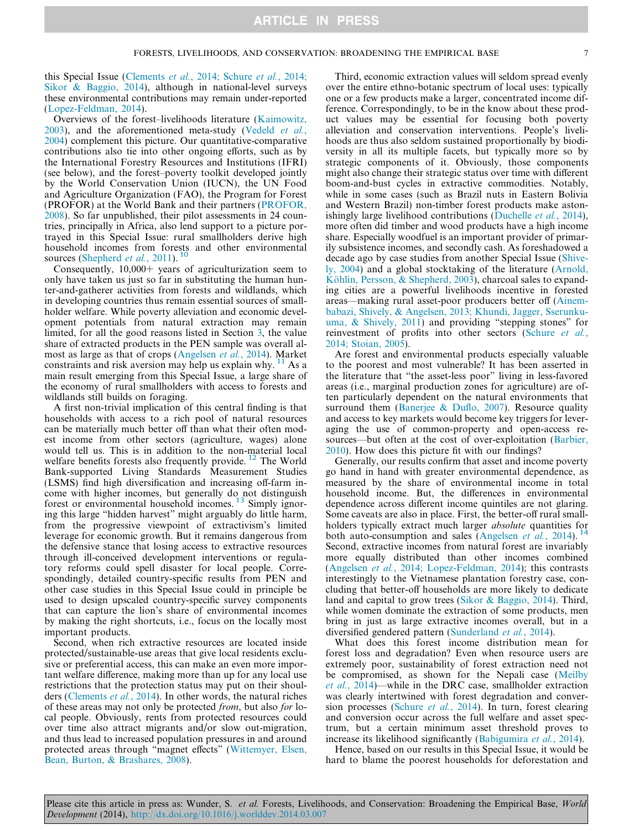#### FORESTS, LIVELIHOODS, AND CONSERVATION: BROADENING THE EMPIRICAL BASE 7

this Special Issue (Clements et al.[, 2014; Schure](#page-9-0) et al., 2014; [Sikor & Baggio, 2014\)](#page-9-0), although in national-level surveys these environmental contributions may remain under-reported ([Lopez-Feldman, 2014\)](#page-9-0).

Overviews of the forest–livelihoods literature [\(Kaimowitz,](#page-9-0) [2003](#page-9-0)), and the aforementioned meta-study ([Vedeld](#page-10-0) et al., [2004](#page-10-0)) complement this picture. Our quantitative-comparative contributions also tie into other ongoing efforts, such as by the International Forestry Resources and Institutions (IFRI) (see below), and the forest–poverty toolkit developed jointly by the World Conservation Union (IUCN), the UN Food and Agriculture Organization (FAO), the Program for Forest (PROFOR) at the World Bank and their partners ([PROFOR,](#page-10-0) [2008](#page-10-0)). So far unpublished, their pilot assessments in 24 countries, principally in Africa, also lend support to a picture portrayed in this Special Issue: rural smallholders derive high household incomes from forests and other environmental sources [\(Shepherd](#page-10-0) et al., 2011).<sup>10</sup>

Consequently, 10,000+ years of agriculturization seem to only have taken us just so far in substituting the human hunter-and-gatherer activities from forests and wildlands, which in developing countries thus remain essential sources of smallholder welfare. While poverty alleviation and economic development potentials from natural extraction may remain limited, for all the good reasons listed in Section 3, the value share of extracted products in the PEN sample was overall al-most as large as that of crops ([Angelsen](#page-8-0) et al., 2014). Market constraints and risk aversion may help us explain why.<sup>11</sup> As a main result emerging from this Special Issue, a large share of the economy of rural smallholders with access to forests and wildlands still builds on foraging.

A first non-trivial implication of this central finding is that households with access to a rich pool of natural resources can be materially much better off than what their often modest income from other sectors (agriculture, wages) alone would tell us. This is in addition to the non-material local welfare benefits forests also frequently provide.<sup>12</sup> The World Bank-supported Living Standards Measurement Studies (LSMS) find high diversification and increasing off-farm income with higher incomes, but generally do not distinguish forest or environmental household incomes.<sup>13</sup> Simply ignoring this large "hidden harvest" might arguably do little harm, from the progressive viewpoint of extractivism's limited leverage for economic growth. But it remains dangerous from the defensive stance that losing access to extractive resources through ill-conceived development interventions or regulatory reforms could spell disaster for local people. Correspondingly, detailed country-specific results from PEN and other case studies in this Special Issue could in principle be used to design upscaled country-specific survey components that can capture the lion's share of environmental incomes by making the right shortcuts, i.e., focus on the locally most important products.

Second, when rich extractive resources are located inside protected/sustainable-use areas that give local residents exclusive or preferential access, this can make an even more important welfare difference, making more than up for any local use restrictions that the protection status may put on their shoulders [\(Clements](#page-9-0) et al., 2014). In other words, the natural riches of these areas may not only be protected from, but also for local people. Obviously, rents from protected resources could over time also attract migrants and/or slow out-migration, and thus lead to increased population pressures in and around protected areas through "magnet effects" [\(Wittemyer, Elsen,](#page-10-0) [Bean, Burton, & Brashares, 2008\)](#page-10-0).

Third, economic extraction values will seldom spread evenly over the entire ethno-botanic spectrum of local uses: typically one or a few products make a larger, concentrated income difference. Correspondingly, to be in the know about these product values may be essential for focusing both poverty alleviation and conservation interventions. People's livelihoods are thus also seldom sustained proportionally by biodiversity in all its multiple facets, but typically more so by strategic components of it. Obviously, those components might also change their strategic status over time with different boom-and-bust cycles in extractive commodities. Notably, while in some cases (such as Brazil nuts in Eastern Bolivia and Western Brazil) non-timber forest products make aston-ishingly large livelihood contributions ([Duchelle](#page-9-0) *et al.*, 2014), more often did timber and wood products have a high income share. Especially woodfuel is an important provider of primarily subsistence incomes, and secondly cash. As foreshadowed a decade ago by case studies from another Special Issue ([Shive](#page-10-0)[ly, 2004](#page-10-0)) and a global stocktaking of the literature ([Arnold,](#page-8-0) Köhlin, Persson, & Shepherd, 2003), charcoal sales to expanding cities are a powerful livelihoods incentive in forested areas—making rural asset-poor producers better off [\(Ainem](#page-8-0)[babazi, Shively, & Angelsen, 2013; Khundi, Jagger, Sserunku](#page-8-0)[uma, & Shively, 2011\)](#page-8-0) and providing "stepping stones" for reinvestment of profits into other sectors ([Schure](#page-10-0) et al., [2014; Stoian, 2005\)](#page-10-0).

Are forest and environmental products especially valuable to the poorest and most vulnerable? It has been asserted in the literature that "the asset-less poor" living in less-favored areas (i.e., marginal production zones for agriculture) are often particularly dependent on the natural environments that surround them [\(Banerjee & Duflo, 2007](#page-8-0)). Resource quality and access to key markets would become key triggers for leveraging the use of common-property and open-access re-sources—but often at the cost of over-exploitation ([Barbier,](#page-8-0) [2010](#page-8-0)). How does this picture fit with our findings?

Generally, our results confirm that asset and income poverty go hand in hand with greater environmental dependence, as measured by the share of environmental income in total household income. But, the differences in environmental dependence across different income quintiles are not glaring. Some caveats are also in place. First, the better-off rural smallholders typically extract much larger *absolute* quantities for both auto-consumption and sales ([Angelsen](#page-8-0) et al., 2014).<sup>14</sup> Second, extractive incomes from natural forest are invariably more equally distributed than other incomes combined (Angelsen et al.[, 2014; Lopez-Feldman, 2014\)](#page-8-0); this contrasts interestingly to the Vietnamese plantation forestry case, concluding that better-off households are more likely to dedicate land and capital to grow trees [\(Sikor & Baggio, 2014](#page-10-0)). Third, while women dominate the extraction of some products, men bring in just as large extractive incomes overall, but in a diversified gendered pattern ([Sunderland](#page-10-0) et al., 2014).

What does this forest income distribution mean for forest loss and degradation? Even when resource users are extremely poor, sustainability of forest extraction need not be compromised, as shown for the Nepali case ([Meilby](#page-9-0) et al.[, 2014](#page-9-0))—while in the DRC case, smallholder extraction was clearly intertwined with forest degradation and conversion processes [\(Schure](#page-10-0) et al., 2014). In turn, forest clearing and conversion occur across the full welfare and asset spectrum, but a certain minimum asset threshold proves to increase its likelihood significantly ([Babigumira](#page-8-0) et al., 2014).

Hence, based on our results in this Special Issue, it would be hard to blame the poorest households for deforestation and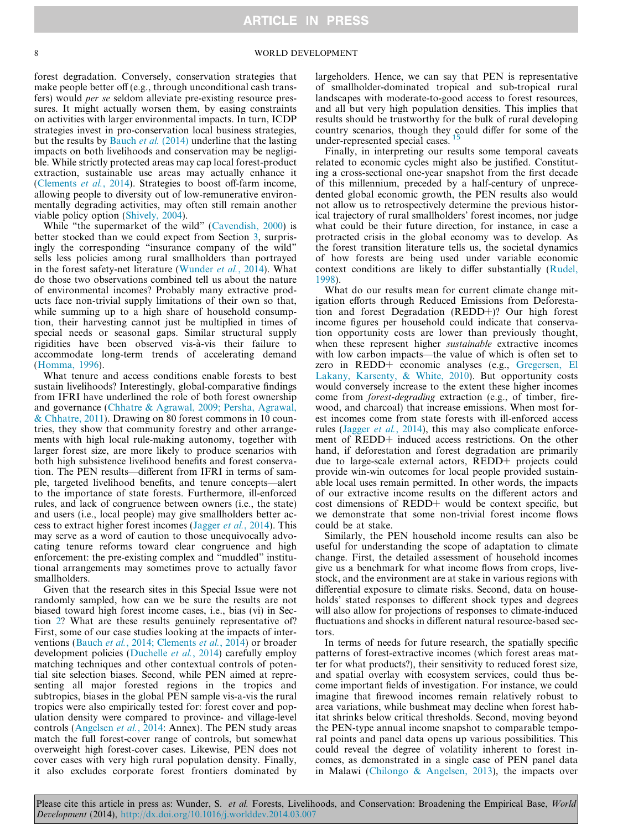forest degradation. Conversely, conservation strategies that make people better off (e.g., through unconditional cash transfers) would per se seldom alleviate pre-existing resource pressures. It might actually worsen them, by easing constraints on activities with larger environmental impacts. In turn, ICDP strategies invest in pro-conservation local business strategies, but the results by [Bauch](#page-9-0) et al. (2014) underline that the lasting impacts on both livelihoods and conservation may be negligible. While strictly protected areas may cap local forest-product extraction, sustainable use areas may actually enhance it ([Clements](#page-9-0) et al., 2014). Strategies to boost off-farm income, allowing people to diversity out of low-remunerative environmentally degrading activities, may often still remain another viable policy option [\(Shively, 2004](#page-10-0)).

While "the supermarket of the wild" ([Cavendish, 2000](#page-9-0)) is better stocked than we could expect from Section 3, surprisingly the corresponding "insurance company of the wild" sells less policies among rural smallholders than portrayed in the forest safety-net literature [\(Wunder](#page-10-0) et al., 2014). What do those two observations combined tell us about the nature of environmental incomes? Probably many extractive products face non-trivial supply limitations of their own so that, while summing up to a high share of household consumption, their harvesting cannot just be multiplied in times of special needs or seasonal gaps. Similar structural supply rigidities have been observed vis-a`-vis their failure to accommodate long-term trends of accelerating demand ([Homma, 1996](#page-9-0)).

What tenure and access conditions enable forests to best sustain livelihoods? Interestingly, global-comparative findings from IFRI have underlined the role of both forest ownership and governance [\(Chhatre & Agrawal, 2009; Persha, Agrawal,](#page-9-0) [& Chhatre, 2011\)](#page-9-0). Drawing on 80 forest commons in 10 countries, they show that community forestry and other arrangements with high local rule-making autonomy, together with larger forest size, are more likely to produce scenarios with both high subsistence livelihood benefits and forest conservation. The PEN results—different from IFRI in terms of sample, targeted livelihood benefits, and tenure concepts—alert to the importance of state forests. Furthermore, ill-enforced rules, and lack of congruence between owners (i.e., the state) and users (i.e., local people) may give smallholders better access to extract higher forest incomes ([Jagger](#page-9-0) et al., 2014). This may serve as a word of caution to those unequivocally advocating tenure reforms toward clear congruence and high enforcement: the pre-existing complex and "muddled" institutional arrangements may sometimes prove to actually favor smallholders.

Given that the research sites in this Special Issue were not randomly sampled, how can we be sure the results are not biased toward high forest income cases, i.e., bias (vi) in Section 2? What are these results genuinely representative of? First, some of our case studies looking at the impacts of interventions (Bauch et al.[, 2014; Clements](#page-9-0) et al., 2014) or broader development policies [\(Duchelle](#page-9-0) et al., 2014) carefully employ matching techniques and other contextual controls of potential site selection biases. Second, while PEN aimed at representing all major forested regions in the tropics and subtropics, biases in the global PEN sample vis-a-vis the rural tropics were also empirically tested for: forest cover and population density were compared to province- and village-level controls ([Angelsen](#page-8-0) et al., 2014: Annex). The PEN study areas match the full forest-cover range of controls, but somewhat overweight high forest-cover cases. Likewise, PEN does not cover cases with very high rural population density. Finally, it also excludes corporate forest frontiers dominated by largeholders. Hence, we can say that PEN is representative of smallholder-dominated tropical and sub-tropical rural landscapes with moderate-to-good access to forest resources, and all but very high population densities. This implies that results should be trustworthy for the bulk of rural developing country scenarios, though they could differ for some of the under-represented special cases. <sup>15</sup>

Finally, in interpreting our results some temporal caveats related to economic cycles might also be justified. Constituting a cross-sectional one-year snapshot from the first decade of this millennium, preceded by a half-century of unprecedented global economic growth, the PEN results also would not allow us to retrospectively determine the previous historical trajectory of rural smallholders' forest incomes, nor judge what could be their future direction, for instance, in case a protracted crisis in the global economy was to develop. As the forest transition literature tells us, the societal dynamics of how forests are being used under variable economic context conditions are likely to differ substantially ([Rudel,](#page-10-0) [1998\)](#page-10-0).

What do our results mean for current climate change mitigation efforts through Reduced Emissions from Deforestation and forest Degradation (REDD+)? Our high forest income figures per household could indicate that conservation opportunity costs are lower than previously thought, when these represent higher *sustainable* extractive incomes with low carbon impacts—the value of which is often set to zero in REDD+ economic analyses (e.g., [Gregersen, El](#page-9-0) [Lakany, Karsenty, & White, 2010\)](#page-9-0). But opportunity costs would conversely increase to the extent these higher incomes come from *forest-degrading* extraction (e.g., of timber, firewood, and charcoal) that increase emissions. When most forest incomes come from state forests with ill-enforced access rules ([Jagger](#page-9-0) et al., 2014), this may also complicate enforcement of REDD+ induced access restrictions. On the other hand, if deforestation and forest degradation are primarily due to large-scale external actors, REDD+ projects could provide win-win outcomes for local people provided sustainable local uses remain permitted. In other words, the impacts of our extractive income results on the different actors and cost dimensions of REDD+ would be context specific, but we demonstrate that some non-trivial forest income flows could be at stake.

Similarly, the PEN household income results can also be useful for understanding the scope of adaptation to climate change. First, the detailed assessment of household incomes give us a benchmark for what income flows from crops, livestock, and the environment are at stake in various regions with differential exposure to climate risks. Second, data on households' stated responses to different shock types and degrees will also allow for projections of responses to climate-induced fluctuations and shocks in different natural resource-based sectors.

In terms of needs for future research, the spatially specific patterns of forest-extractive incomes (which forest areas matter for what products?), their sensitivity to reduced forest size, and spatial overlay with ecosystem services, could thus become important fields of investigation. For instance, we could imagine that firewood incomes remain relatively robust to area variations, while bushmeat may decline when forest habitat shrinks below critical thresholds. Second, moving beyond the PEN-type annual income snapshot to comparable temporal points and panel data opens up various possibilities. This could reveal the degree of volatility inherent to forest incomes, as demonstrated in a single case of PEN panel data in Malawi [\(Chilongo & Angelsen, 2013\)](#page-9-0), the impacts over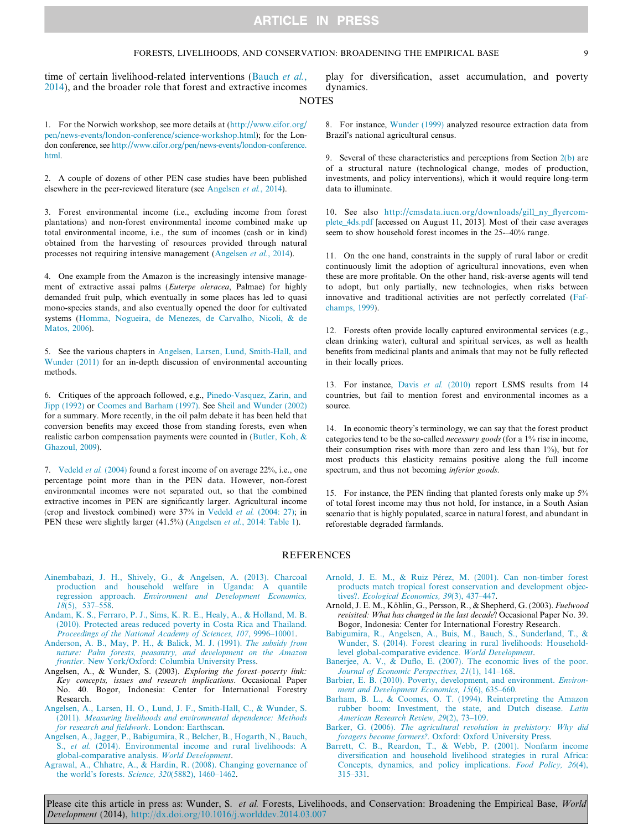# **ARTICLE IN PRESS**

#### FORESTS, LIVELIHOODS, AND CONSERVATION: BROADENING THE EMPIRICAL BASE

<span id="page-8-0"></span>time of certain livelihood-related interventions ([Bauch](#page-9-0) et al., [2014](#page-9-0)), and the broader role that forest and extractive incomes

1. For the Norwich workshop, see more details at [\(http://www.cifor.org/](http://www.cifor.org/pen/news-events/london-conference/science-workshop.html) [pen/news-events/london-conference/science-workshop.html\)](http://www.cifor.org/pen/news-events/london-conference/science-workshop.html); for the London conference, see [http://www.cifor.org/pen/news-events/london-conference.](http://www.cifor.org/pen/news-events/london-conference.html) [html](http://www.cifor.org/pen/news-events/london-conference.html).

2. A couple of dozens of other PEN case studies have been published elsewhere in the peer-reviewed literature (see Angelsen et al., 2014).

3. Forest environmental income (i.e., excluding income from forest plantations) and non-forest environmental income combined make up total environmental income, i.e., the sum of incomes (cash or in kind) obtained from the harvesting of resources provided through natural processes not requiring intensive management (Angelsen et al., 2014).

4. One example from the Amazon is the increasingly intensive management of extractive assai palms (Euterpe oleracea, Palmae) for highly demanded fruit pulp, which eventually in some places has led to quasi mono-species stands, and also eventually opened the door for cultivated systems ([Homma, Nogueira, de Menezes, de Carvalho, Nicoli, & de](#page-9-0) [Matos, 2006](#page-9-0)).

5. See the various chapters in Angelsen, Larsen, Lund, Smith-Hall, and Wunder (2011) for an in-depth discussion of environmental accounting methods.

6. Critiques of the approach followed, e.g., [Pinedo-Vasquez, Zarin, and](#page-9-0) [Jipp \(1992\)](#page-9-0) or [Coomes and Barham \(1997\)](#page-9-0). See [Sheil and Wunder \(2002\)](#page-10-0) for a summary. More recently, in the oil palm debate it has been held that conversion benefits may exceed those from standing forests, even when realistic carbon compensation payments were counted in ([Butler, Koh, &](#page-9-0) [Ghazoul, 2009\)](#page-9-0).

7. [Vedeld](#page-10-0) et al. (2004) found a forest income of on average 22%, i.e., one percentage point more than in the PEN data. However, non-forest environmental incomes were not separated out, so that the combined extractive incomes in PEN are significantly larger. Agricultural income (crop and livestock combined) were 37% in Vedeld et al. [\(2004: 27\);](#page-10-0) in PEN these were slightly larger (41.5%) (Angelsen et al., 2014: Table 1).

play for diversification, asset accumulation, and poverty dynamics.

**NOTES** 

8. For instance, [Wunder \(1999\)](#page-10-0) analyzed resource extraction data from Brazil's national agricultural census.

9. Several of these characteristics and perceptions from Section 2(b) are of a structural nature (technological change, modes of production, investments, and policy interventions), which it would require long-term data to illuminate.

10. See also [http://cmsdata.iucn.org/downloads/gill\\_ny\\_flyercom](http://cmsdata.iucn.org/downloads/gill_ny_flyercomplete_4ds.pdf)[plete\\_4ds.pdf](http://cmsdata.iucn.org/downloads/gill_ny_flyercomplete_4ds.pdf) [accessed on August 11, 2013]. Most of their case averages seem to show household forest incomes in the 25-–40% range.

11. On the one hand, constraints in the supply of rural labor or credit continuously limit the adoption of agricultural innovations, even when these are more profitable. On the other hand, risk-averse agents will tend to adopt, but only partially, new technologies, when risks between innovative and traditional activities are not perfectly correlated ([Faf](#page-9-0)[champs, 1999](#page-9-0)).

12. Forests often provide locally captured environmental services (e.g., clean drinking water), cultural and spiritual services, as well as health benefits from medicinal plants and animals that may not be fully reflected in their locally prices.

13. For instance, Davis et al. [\(2010\)](#page-9-0) report LSMS results from 14 countries, but fail to mention forest and environmental incomes as a source.

14. In economic theory's terminology, we can say that the forest product categories tend to be the so-called necessary goods (for a 1% rise in income, their consumption rises with more than zero and less than 1%), but for most products this elasticity remains positive along the full income spectrum, and thus not becoming inferior goods.

15. For instance, the PEN finding that planted forests only make up 5% of total forest income may thus not hold, for instance, in a South Asian scenario that is highly populated, scarce in natural forest, and abundant in reforestable degraded farmlands.

#### REFERENCES

- [Ainembabazi, J. H., Shively, G., & Angelsen, A. \(2013\). Charcoal](http://refhub.elsevier.com/S0305-750X(14)00073-4/h0005) [production and household welfare in Uganda: A quantile](http://refhub.elsevier.com/S0305-750X(14)00073-4/h0005) regression approach. [Environment and Development Economics,](http://refhub.elsevier.com/S0305-750X(14)00073-4/h0005)  $18(5)$ , 537–558.
- [Andam, K. S., Ferraro, P. J., Sims, K. R. E., Healy, A., & Holland, M. B.](http://refhub.elsevier.com/S0305-750X(14)00073-4/h0010) [\(2010\). Protected areas reduced poverty in Costa Rica and Thailand.](http://refhub.elsevier.com/S0305-750X(14)00073-4/h0010) [Proceedings of the National Academy of Sciences, 107](http://refhub.elsevier.com/S0305-750X(14)00073-4/h0010)[, 9996–10001](http://refhub.elsevier.com/S0305-750X(14)00073-4/h0010).
- [Anderson, A. B., May, P. H., & Balick, M. J. \(1991\).](http://refhub.elsevier.com/S0305-750X(14)00073-4/h0015) The subsidy from [nature: Palm forests, peasantry, and development on the Amazon](http://refhub.elsevier.com/S0305-750X(14)00073-4/h0015) [frontier](http://refhub.elsevier.com/S0305-750X(14)00073-4/h0015)[. New York/Oxford: Columbia University Press.](http://refhub.elsevier.com/S0305-750X(14)00073-4/h0015)
- Angelsen, A., & Wunder, S. (2003). Exploring the forest–poverty link: Key concepts, issues and research implications. Occasional Paper No. 40. Bogor, Indonesia: Center for International Forestry Research.
- [Angelsen, A., Larsen, H. O., Lund, J. F., Smith-Hall, C., & Wunder, S.](http://refhub.elsevier.com/S0305-750X(14)00073-4/h0025) (2011). [Measuring livelihoods and environmental dependence: Methods](http://refhub.elsevier.com/S0305-750X(14)00073-4/h0025) [for research and fieldwork](http://refhub.elsevier.com/S0305-750X(14)00073-4/h0025)[. London: Earthscan.](http://refhub.elsevier.com/S0305-750X(14)00073-4/h0025)
- [Angelsen, A., Jagger, P., Babigumira, R., Belcher, B., Hogarth, N., Bauch,](http://refhub.elsevier.com/S0305-750X(14)00073-4/h0450) S., et al. [\(2014\). Environmental income and rural livelihoods: A](http://refhub.elsevier.com/S0305-750X(14)00073-4/h0450) [global-comparative analysis.](http://refhub.elsevier.com/S0305-750X(14)00073-4/h0450) World Development.
- [Agrawal, A., Chhatre, A., & Hardin, R. \(2008\). Changing governance of](http://refhub.elsevier.com/S0305-750X(14)00073-4/h0035) [the world's forests.](http://refhub.elsevier.com/S0305-750X(14)00073-4/h0035) Science, 320(5882)[, 1460–1462](http://refhub.elsevier.com/S0305-750X(14)00073-4/h0035).
- Arnold, J. E. M., & Ruiz Pérez, M. (2001). Can non-timber forest [products match tropical forest conservation and development objec](http://refhub.elsevier.com/S0305-750X(14)00073-4/h0455)tives?. [Ecological Economics, 39](http://refhub.elsevier.com/S0305-750X(14)00073-4/h0455)(3[\), 437–447.](http://refhub.elsevier.com/S0305-750X(14)00073-4/h0455)
- Arnold, J. E. M., Köhlin, G., Persson, R., & Shepherd, G. (2003). Fuelwood revisited: What has changed in the last decade? Occasional Paper No. 39. Bogor, Indonesia: Center for International Forestry Research.
- [Babigumira, R., Angelsen, A., Buis, M., Bauch, S., Sunderland, T., &](http://refhub.elsevier.com/S0305-750X(14)00073-4/h0460) [Wunder, S. \(2014\). Forest clearing in rural livelihoods: Household](http://refhub.elsevier.com/S0305-750X(14)00073-4/h0460)[level global-comparative evidence.](http://refhub.elsevier.com/S0305-750X(14)00073-4/h0460) World Development.
- Banerjee, A. V.,  $\&$  Duflo, E. (2007). The economic lives of the poor. [Journal of Economic Perspectives, 21](http://refhub.elsevier.com/S0305-750X(14)00073-4/h0055)(1)[, 141–168.](http://refhub.elsevier.com/S0305-750X(14)00073-4/h0055)
- [Barbier, E. B. \(2010\). Poverty, development, and environment.](http://refhub.elsevier.com/S0305-750X(14)00073-4/h0060) *Environ*[ment and Development Economics, 15](http://refhub.elsevier.com/S0305-750X(14)00073-4/h0060)(6)[, 635–660](http://refhub.elsevier.com/S0305-750X(14)00073-4/h0060).
- [Barham, B. L., & Coomes, O. T. \(1994\). Reinterpreting the Amazon](http://refhub.elsevier.com/S0305-750X(14)00073-4/h0065) [rubber boom: Investment, the state, and Dutch disease.](http://refhub.elsevier.com/S0305-750X(14)00073-4/h0065) Latin [American Research Review, 29](http://refhub.elsevier.com/S0305-750X(14)00073-4/h0065)(2[\), 73–109.](http://refhub.elsevier.com/S0305-750X(14)00073-4/h0065)
- Barker, G. (2006). [The agricultural revolution in prehistory: Why did](http://refhub.elsevier.com/S0305-750X(14)00073-4/h0070) [foragers become farmers?](http://refhub.elsevier.com/S0305-750X(14)00073-4/h0070)[. Oxford: Oxford University Press.](http://refhub.elsevier.com/S0305-750X(14)00073-4/h0070)
- [Barrett, C. B., Reardon, T., & Webb, P. \(2001\). Nonfarm income](http://refhub.elsevier.com/S0305-750X(14)00073-4/h0075) [diversification and household livelihood strategies in rural Africa:](http://refhub.elsevier.com/S0305-750X(14)00073-4/h0075) [Concepts, dynamics, and policy implications.](http://refhub.elsevier.com/S0305-750X(14)00073-4/h0075) Food Policy, 26(4[\),](http://refhub.elsevier.com/S0305-750X(14)00073-4/h0075) [315–331.](http://refhub.elsevier.com/S0305-750X(14)00073-4/h0075)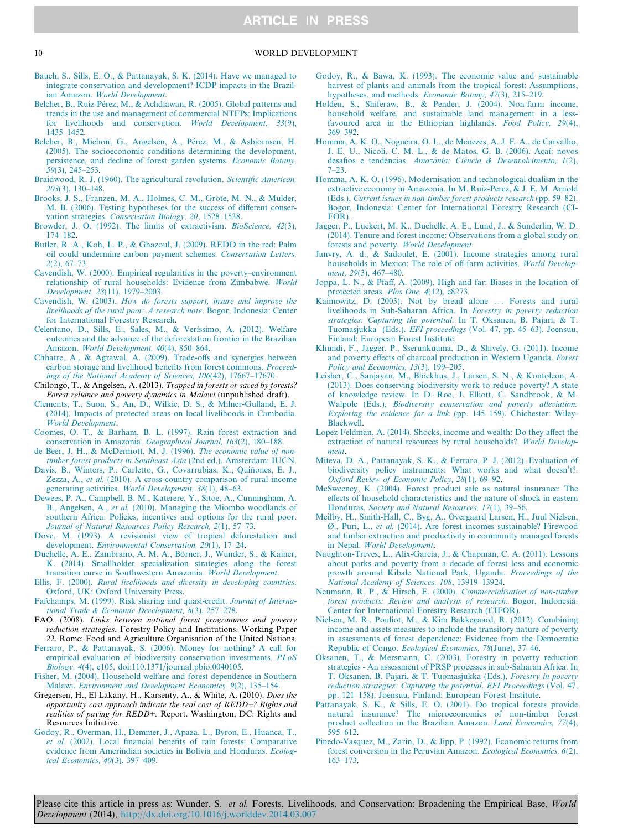## **ARTICLE IN PRESS**

#### <span id="page-9-0"></span>10 WORLD DEVELOPMENT

- [Bauch, S., Sills, E. O., & Pattanayak, S. K. \(2014\). Have we managed to](http://refhub.elsevier.com/S0305-750X(14)00073-4/h0465) [integrate conservation and development? ICDP impacts in the Brazil](http://refhub.elsevier.com/S0305-750X(14)00073-4/h0465)ian Amazon. [World Development](http://refhub.elsevier.com/S0305-750X(14)00073-4/h0465).
- Belcher, B., Ruiz-Pérez, M., & Achdiawan, R. (2005). Global patterns and [trends in the use and management of commercial NTFPs: Implications](http://refhub.elsevier.com/S0305-750X(14)00073-4/h0085) [for livelihoods and conservation.](http://refhub.elsevier.com/S0305-750X(14)00073-4/h0085) World Development, 33(9)[,](http://refhub.elsevier.com/S0305-750X(14)00073-4/h0085) [1435–1452](http://refhub.elsevier.com/S0305-750X(14)00073-4/h0085).
- Belcher, B., Michon, G., Angelsen, A., Pérez, M., & Asbjornsen, H. [\(2005\). The socioeconomic conditions determining the development,](http://refhub.elsevier.com/S0305-750X(14)00073-4/h0090) [persistence, and decline of forest garden systems.](http://refhub.elsevier.com/S0305-750X(14)00073-4/h0090) Economic Botany, 59[\(3\), 245–253](http://refhub.elsevier.com/S0305-750X(14)00073-4/h0090).
- [Braidwood, R. J. \(1960\). The agricultural revolution.](http://refhub.elsevier.com/S0305-750X(14)00073-4/h0095) Scientific American, [203](http://refhub.elsevier.com/S0305-750X(14)00073-4/h0095)(3)[, 130–148](http://refhub.elsevier.com/S0305-750X(14)00073-4/h0095).
- [Brooks, J. S., Franzen, M. A., Holmes, C. M., Grote, M. N., & Mulder,](http://refhub.elsevier.com/S0305-750X(14)00073-4/h0100) [M. B. \(2006\). Testing hypotheses for the success of different conser](http://refhub.elsevier.com/S0305-750X(14)00073-4/h0100)vation strategies. [Conservation Biology, 20](http://refhub.elsevier.com/S0305-750X(14)00073-4/h0100)[, 1528–1538.](http://refhub.elsevier.com/S0305-750X(14)00073-4/h0100)
- [Browder, J. O. \(1992\). The limits of extractivism.](http://refhub.elsevier.com/S0305-750X(14)00073-4/h0105) BioScience[,](http://refhub.elsevier.com/S0305-750X(14)00073-4/h0105) 42(3), [174–182](http://refhub.elsevier.com/S0305-750X(14)00073-4/h0105).
- [Butler, R. A., Koh, L. P., & Ghazoul, J. \(2009\). REDD in the red: Palm](http://refhub.elsevier.com/S0305-750X(14)00073-4/h0110) [oil could undermine carbon payment schemes.](http://refhub.elsevier.com/S0305-750X(14)00073-4/h0110) Conservation Letters, 2[\(2\), 67–73](http://refhub.elsevier.com/S0305-750X(14)00073-4/h0110).
- [Cavendish, W. \(2000\). Empirical regularities in the poverty–environment](http://refhub.elsevier.com/S0305-750X(14)00073-4/h0115) [relationship of rural households: Evidence from Zimbabwe.](http://refhub.elsevier.com/S0305-750X(14)00073-4/h0115) World [Development, 28](http://refhub.elsevier.com/S0305-750X(14)00073-4/h0115)(11[\), 1979–2003.](http://refhub.elsevier.com/S0305-750X(14)00073-4/h0115)
- Cavendish, W. (2003). [How do forests support, insure and improve the](http://refhub.elsevier.com/S0305-750X(14)00073-4/h0120) [livelihoods of the rural poor: A research note](http://refhub.elsevier.com/S0305-750X(14)00073-4/h0120)[. Bogor, Indonesia: Center](http://refhub.elsevier.com/S0305-750X(14)00073-4/h0120) [for International Forestry Research](http://refhub.elsevier.com/S0305-750X(14)00073-4/h0120).
- Celentano, D., Sills, E., Sales, M., & Veríssimo, A. (2012). Welfare [outcomes and the advance of the deforestation frontier in the Brazilian](http://refhub.elsevier.com/S0305-750X(14)00073-4/h0125) Amazon. [World Development, 40](http://refhub.elsevier.com/S0305-750X(14)00073-4/h0125)(4)[, 850–864](http://refhub.elsevier.com/S0305-750X(14)00073-4/h0125).
- [Chhatre, A., & Agrawal, A. \(2009\). Trade-offs and synergies between](http://refhub.elsevier.com/S0305-750X(14)00073-4/h0130) [carbon storage and livelihood benefits from forest commons.](http://refhub.elsevier.com/S0305-750X(14)00073-4/h0130) Proceed[ings of the National Academy of Sciences, 106](http://refhub.elsevier.com/S0305-750X(14)00073-4/h0130)(42[\), 17667–17670.](http://refhub.elsevier.com/S0305-750X(14)00073-4/h0130)
- Chilongo, T., & Angelsen, A. (2013). Trapped in forests or saved by forests? Forest reliance and poverty dynamics in Malawi (unpublished draft).
- [Clements, T., Suon, S., An, D., Wilkie, D. S., & Milner-Gulland, E. J.](http://refhub.elsevier.com/S0305-750X(14)00073-4/h0470) [\(2014\). Impacts of protected areas on local livelihoods in Cambodia.](http://refhub.elsevier.com/S0305-750X(14)00073-4/h0470) [World Development](http://refhub.elsevier.com/S0305-750X(14)00073-4/h0470).
- [Coomes, O. T., & Barham, B. L. \(1997\). Rain forest extraction and](http://refhub.elsevier.com/S0305-750X(14)00073-4/h0145) [conservation in Amazonia.](http://refhub.elsevier.com/S0305-750X(14)00073-4/h0145) Geographical Journal, 163(2[\), 180–188.](http://refhub.elsevier.com/S0305-750X(14)00073-4/h0145)
- [de Beer, J. H., & McDermott, M. J. \(1996\).](http://refhub.elsevier.com/S0305-750X(14)00073-4/h0155) The economic value of non[timber forest products in Southeast Asia](http://refhub.elsevier.com/S0305-750X(14)00073-4/h0155) (2nd ed.)[. Amsterdam: IUCN.](http://refhub.elsevier.com/S0305-750X(14)00073-4/h0155)
- Davis, B., Winters, P., Carletto, G., Covarrubias, K., Quiñones, E. J., Zezza, A., et al. [\(2010\). A cross-country comparison of rural income](http://refhub.elsevier.com/S0305-750X(14)00073-4/h0160) generating activities. [World Development, 38](http://refhub.elsevier.com/S0305-750X(14)00073-4/h0160)(1)[, 48–63](http://refhub.elsevier.com/S0305-750X(14)00073-4/h0160).
- [Dewees, P. A., Campbell, B. M., Katerere, Y., Sitoe, A., Cunningham, A.](http://refhub.elsevier.com/S0305-750X(14)00073-4/h0165) B., Angelsen, A., et al. [\(2010\). Managing the Miombo woodlands of](http://refhub.elsevier.com/S0305-750X(14)00073-4/h0165) [southern Africa: Policies, incentives and options for the rural poor.](http://refhub.elsevier.com/S0305-750X(14)00073-4/h0165) [Journal of Natural Resources Policy Research, 2](http://refhub.elsevier.com/S0305-750X(14)00073-4/h0165)(1)[, 57–73](http://refhub.elsevier.com/S0305-750X(14)00073-4/h0165).
- [Dove, M. \(1993\). A revisionist view of tropical deforestation and](http://refhub.elsevier.com/S0305-750X(14)00073-4/h0170) development. [Environmental Conservation, 20](http://refhub.elsevier.com/S0305-750X(14)00073-4/h0170)(1)[, 17–24.](http://refhub.elsevier.com/S0305-750X(14)00073-4/h0170)
- Duchelle, A. E., Zambrano, A. M. A., Börner, J., Wunder, S., & Kainer, [K. \(2014\). Smallholder specialization strategies along the forest](http://refhub.elsevier.com/S0305-750X(14)00073-4/h0475) [transition curve in Southwestern Amazonia.](http://refhub.elsevier.com/S0305-750X(14)00073-4/h0475) World Development.
- Ellis, F. (2000). [Rural livelihoods and diversity in developing countries](http://refhub.elsevier.com/S0305-750X(14)00073-4/h0180)[.](http://refhub.elsevier.com/S0305-750X(14)00073-4/h0180) [Oxford, UK: Oxford University Press](http://refhub.elsevier.com/S0305-750X(14)00073-4/h0180).
- [Fafchamps, M. \(1999\). Risk sharing and quasi-credit.](http://refhub.elsevier.com/S0305-750X(14)00073-4/h0185) Journal of Interna[tional Trade & Economic Development, 8](http://refhub.elsevier.com/S0305-750X(14)00073-4/h0185)(3)[, 257–278](http://refhub.elsevier.com/S0305-750X(14)00073-4/h0185).
- FAO. (2008). Links between national forest programmes and poverty reduction strategies. Forestry Policy and Institutions. Working Paper 22. Rome: Food and Agriculture Organisation of the United Nations.
- [Ferraro, P., & Pattanayak, S. \(2006\). Money for nothing? A call for](http://refhub.elsevier.com/S0305-750X(14)00073-4/h0195) [empirical evaluation of biodiversity conservation investments.](http://refhub.elsevier.com/S0305-750X(14)00073-4/h0195) PLoS [Biology, 4](http://refhub.elsevier.com/S0305-750X(14)00073-4/h0195)(4)[, e105, doi:110.1371/journal.pbio.0040105.](http://refhub.elsevier.com/S0305-750X(14)00073-4/h0195)
- [Fisher, M. \(2004\). Household welfare and forest dependence in Southern](http://refhub.elsevier.com/S0305-750X(14)00073-4/h0200) Malawi. [Environment and Development Economics, 9](http://refhub.elsevier.com/S0305-750X(14)00073-4/h0200)(2[\), 135–154](http://refhub.elsevier.com/S0305-750X(14)00073-4/h0200).
- Gregersen, H., El Lakany, H., Karsenty, A., & White, A. (2010). Does the opportunity cost approach indicate the real cost of REDD+? Rights and realities of paying for REDD+. Report. Washington, DC: Rights and Resources Initiative.
- [Godoy, R., Overman, H., Demmer, J., Apaza, L., Byron, E., Huanca, T.,](http://refhub.elsevier.com/S0305-750X(14)00073-4/h0210) et al. [\(2002\). Local financial benefits of rain forests: Comparative](http://refhub.elsevier.com/S0305-750X(14)00073-4/h0210) [evidence from Amerindian societies in Bolivia and Honduras.](http://refhub.elsevier.com/S0305-750X(14)00073-4/h0210) Ecolog[ical Economics, 40](http://refhub.elsevier.com/S0305-750X(14)00073-4/h0210)(3[\), 397–409.](http://refhub.elsevier.com/S0305-750X(14)00073-4/h0210)
- [Godoy, R., & Bawa, K. \(1993\). The economic value and sustainable](http://refhub.elsevier.com/S0305-750X(14)00073-4/h0215) [harvest of plants and animals from the tropical forest: Assumptions,](http://refhub.elsevier.com/S0305-750X(14)00073-4/h0215) [hypotheses, and methods.](http://refhub.elsevier.com/S0305-750X(14)00073-4/h0215) *Economic Botany*, 47(3[\), 215–219](http://refhub.elsevier.com/S0305-750X(14)00073-4/h0215).
- [Holden, S., Shiferaw, B., & Pender, J. \(2004\). Non-farm income,](http://refhub.elsevier.com/S0305-750X(14)00073-4/h0220) [household welfare, and sustainable land management in a less](http://refhub.elsevier.com/S0305-750X(14)00073-4/h0220)[favoured area in the Ethiopian highlands.](http://refhub.elsevier.com/S0305-750X(14)00073-4/h0220) Food Policy[,](http://refhub.elsevier.com/S0305-750X(14)00073-4/h0220) 29(4), [369–392](http://refhub.elsevier.com/S0305-750X(14)00073-4/h0220).
- [Homma, A. K. O., Nogueira, O. L., de Menezes, A. J. E. A., de Carvalho,](http://refhub.elsevier.com/S0305-750X(14)00073-4/h0480) [J. E. U., Nicoli, C. M. L., & de Matos, G. B. \(2006\). A](http://refhub.elsevier.com/S0305-750X(14)00073-4/h0480)çaí: novos desafios e tendências. Amazônia: Ciência & Desenvolvimento[,](http://refhub.elsevier.com/S0305-750X(14)00073-4/h0480) 1(2),  $7 - 23$
- [Homma, A. K. O. \(1996\). Modernisation and technological dualism in the](http://refhub.elsevier.com/S0305-750X(14)00073-4/h0230) [extractive economy in Amazonia. In M. Ruiz-Perez, & J. E. M. Arnold](http://refhub.elsevier.com/S0305-750X(14)00073-4/h0230) (Eds.), [Current issues in non-timber forest products research](http://refhub.elsevier.com/S0305-750X(14)00073-4/h0230) [\(pp. 59–82\).](http://refhub.elsevier.com/S0305-750X(14)00073-4/h0230) [Bogor, Indonesia: Center for International Forestry Research \(CI-](http://refhub.elsevier.com/S0305-750X(14)00073-4/h0230)[FOR\).](http://refhub.elsevier.com/S0305-750X(14)00073-4/h0230)
- [Jagger, P., Luckert, M. K., Duchelle, A. E., Lund, J., & Sunderlin, W. D.](http://refhub.elsevier.com/S0305-750X(14)00073-4/h0485) [\(2014\). Tenure and forest income: Observations from a global study on](http://refhub.elsevier.com/S0305-750X(14)00073-4/h0485) [forests and poverty.](http://refhub.elsevier.com/S0305-750X(14)00073-4/h0485) World Development.
- [Janvry, A. d., & Sadoulet, E. \(2001\). Income strategies among rural](http://refhub.elsevier.com/S0305-750X(14)00073-4/h0240) [households in Mexico: The role of off-farm activities.](http://refhub.elsevier.com/S0305-750X(14)00073-4/h0240) World Develop[ment, 29](http://refhub.elsevier.com/S0305-750X(14)00073-4/h0240)(3)[, 467–480](http://refhub.elsevier.com/S0305-750X(14)00073-4/h0240).
- [Joppa, L. N., & Pfaff, A. \(2009\). High and far: Biases in the location of](http://refhub.elsevier.com/S0305-750X(14)00073-4/h0245) [protected areas.](http://refhub.elsevier.com/S0305-750X(14)00073-4/h0245) Plos One, 4(12[\), e8273](http://refhub.elsevier.com/S0305-750X(14)00073-4/h0245).
- [Kaimowitz, D. \(2003\). Not by bread alone](http://refhub.elsevier.com/S0305-750X(14)00073-4/h0490) ... [Forests and rural](http://refhub.elsevier.com/S0305-750X(14)00073-4/h0490) [livelihoods in Sub-Saharan Africa. In](http://refhub.elsevier.com/S0305-750X(14)00073-4/h0490) Forestry in poverty reduction strategies: Capturing the potential[. In T. Oksanen, B. Pajari, & T.](http://refhub.elsevier.com/S0305-750X(14)00073-4/h0490) [Tuomasjukka \(Eds.\).](http://refhub.elsevier.com/S0305-750X(14)00073-4/h0490) EFI proceedings (Vol. 47[, pp. 45–63\). Joensuu,](http://refhub.elsevier.com/S0305-750X(14)00073-4/h0490) [Finland: European Forest Institute.](http://refhub.elsevier.com/S0305-750X(14)00073-4/h0490)
- [Khundi, F., Jagger, P., Sserunkuuma, D., & Shively, G. \(2011\). Income](http://refhub.elsevier.com/S0305-750X(14)00073-4/h0255) [and poverty effects of charcoal production in Western Uganda.](http://refhub.elsevier.com/S0305-750X(14)00073-4/h0255) Forest [Policy and Economics, 13](http://refhub.elsevier.com/S0305-750X(14)00073-4/h0255)(3), 199-205.
- [Leisher, C., Sanjayan, M., Blockhus, J., Larsen, S. N., & Kontoleon, A.](http://refhub.elsevier.com/S0305-750X(14)00073-4/h9000) [\(2013\). Does conserving biodiversity work to reduce poverty? A state](http://refhub.elsevier.com/S0305-750X(14)00073-4/h9000) [of knowledge review. In D. Roe, J. Elliott, C. Sandbrook, & M.](http://refhub.elsevier.com/S0305-750X(14)00073-4/h9000) Walpole (Eds.), [Biodiversity conservation and poverty alleviation:](http://refhub.elsevier.com/S0305-750X(14)00073-4/h9000) [Exploring the evidence for a link](http://refhub.elsevier.com/S0305-750X(14)00073-4/h9000) (pp.  $145-159$ ). Chichester: Wiley-[Blackwell](http://refhub.elsevier.com/S0305-750X(14)00073-4/h9000).
- [Lopez-Feldman, A. \(2014\). Shocks, income and wealth: Do they affect the](http://refhub.elsevier.com/S0305-750X(14)00073-4/h0495) [extraction of natural resources by rural households?.](http://refhub.elsevier.com/S0305-750X(14)00073-4/h0495) World Develop[ment](http://refhub.elsevier.com/S0305-750X(14)00073-4/h0495).
- [Miteva, D. A., Pattanayak, S. K., & Ferraro, P. J. \(2012\). Evaluation of](http://refhub.elsevier.com/S0305-750X(14)00073-4/h0275) [biodiversity policy instruments: What works and what doesn't?.](http://refhub.elsevier.com/S0305-750X(14)00073-4/h0275) [Oxford Review of Economic Policy, 28](http://refhub.elsevier.com/S0305-750X(14)00073-4/h0275)(1)[, 69–92.](http://refhub.elsevier.com/S0305-750X(14)00073-4/h0275)
- [McSweeney, K. \(2004\). Forest product sale as natural insurance: The](http://refhub.elsevier.com/S0305-750X(14)00073-4/h0280) [effects of household characteristics and the nature of shock in eastern](http://refhub.elsevier.com/S0305-750X(14)00073-4/h0280) Honduras. [Society and Natural Resources, 17](http://refhub.elsevier.com/S0305-750X(14)00073-4/h0280)(1)[, 39–56.](http://refhub.elsevier.com/S0305-750X(14)00073-4/h0280)
- [Meilby, H., Smith-Hall, C., Byg, A., Overgaard Larsen, H., Juul Nielsen,](http://refhub.elsevier.com/S0305-750X(14)00073-4/h0500) Ø., Puri, L., et al. [\(2014\). Are forest incomes sustainable? Firewood](http://refhub.elsevier.com/S0305-750X(14)00073-4/h0500) [and timber extraction and productivity in community managed forests](http://refhub.elsevier.com/S0305-750X(14)00073-4/h0500) in Nepal. [World Development](http://refhub.elsevier.com/S0305-750X(14)00073-4/h0500).
- [Naughton-Treves, L., Alix-Garcia, J., & Chapman, C. A. \(2011\). Lessons](http://refhub.elsevier.com/S0305-750X(14)00073-4/h0290) [about parks and poverty from a decade of forest loss and economic](http://refhub.elsevier.com/S0305-750X(14)00073-4/h0290) [growth around Kibale National Park, Uganda.](http://refhub.elsevier.com/S0305-750X(14)00073-4/h0290) Proceedings of the [National Academy of Sciences, 108](http://refhub.elsevier.com/S0305-750X(14)00073-4/h0290)[, 13919–13924.](http://refhub.elsevier.com/S0305-750X(14)00073-4/h0290)
- [Neumann, R. P., & Hirsch, E. \(2000\).](http://refhub.elsevier.com/S0305-750X(14)00073-4/h0295) Commercialisation of non-timber [forest products: Review and analysis of research](http://refhub.elsevier.com/S0305-750X(14)00073-4/h0295)[. Bogor, Indonesia:](http://refhub.elsevier.com/S0305-750X(14)00073-4/h0295) [Center for International Forestry Research \(CIFOR\).](http://refhub.elsevier.com/S0305-750X(14)00073-4/h0295)
- [Nielsen, M. R., Pouliot, M., & Kim Bakkegaard, R. \(2012\). Combining](http://refhub.elsevier.com/S0305-750X(14)00073-4/h0505) [income and assets measures to include the transitory nature of poverty](http://refhub.elsevier.com/S0305-750X(14)00073-4/h0505) [in assessments of forest dependence: Evidence from the Democratic](http://refhub.elsevier.com/S0305-750X(14)00073-4/h0505) Republic of Congo. [Ecological Economics, 78](http://refhub.elsevier.com/S0305-750X(14)00073-4/h0505)(June[\), 37–46](http://refhub.elsevier.com/S0305-750X(14)00073-4/h0505).
- [Oksanen, T., & Mersmann, C. \(2003\). Forestry in poverty reduction](http://refhub.elsevier.com/S0305-750X(14)00073-4/h0510) [strategies - An assessment of PRSP processes in sub-Saharan Africa. In](http://refhub.elsevier.com/S0305-750X(14)00073-4/h0510) [T. Oksanen, B. Pajari, & T. Tuomasjukka \(Eds.\),](http://refhub.elsevier.com/S0305-750X(14)00073-4/h0510) Forestry in poverty [reduction strategies: Capturing the potential](http://refhub.elsevier.com/S0305-750X(14)00073-4/h0510). EFI Proceedings (Vol. 47[,](http://refhub.elsevier.com/S0305-750X(14)00073-4/h0510) [pp. 121–158\). Joensuu, Finland: European Forest Institute](http://refhub.elsevier.com/S0305-750X(14)00073-4/h0510).
- [Pattanayak, S. K., & Sills, E. O. \(2001\). Do tropical forests provide](http://refhub.elsevier.com/S0305-750X(14)00073-4/h0310) [natural insurance? The microeconomics of non-timber forest](http://refhub.elsevier.com/S0305-750X(14)00073-4/h0310) [product collection in the Brazilian Amazon.](http://refhub.elsevier.com/S0305-750X(14)00073-4/h0310) Land Economics, 77(4)[,](http://refhub.elsevier.com/S0305-750X(14)00073-4/h0310) [595–612](http://refhub.elsevier.com/S0305-750X(14)00073-4/h0310).
- [Pinedo-Vasquez, M., Zarin, D., & Jipp, P. \(1992\). Economic returns from](http://refhub.elsevier.com/S0305-750X(14)00073-4/h0315) [forest conversion in the Peruvian Amazon.](http://refhub.elsevier.com/S0305-750X(14)00073-4/h0315) Ecological Economics, 6(2)[,](http://refhub.elsevier.com/S0305-750X(14)00073-4/h0315) [163–173](http://refhub.elsevier.com/S0305-750X(14)00073-4/h0315).